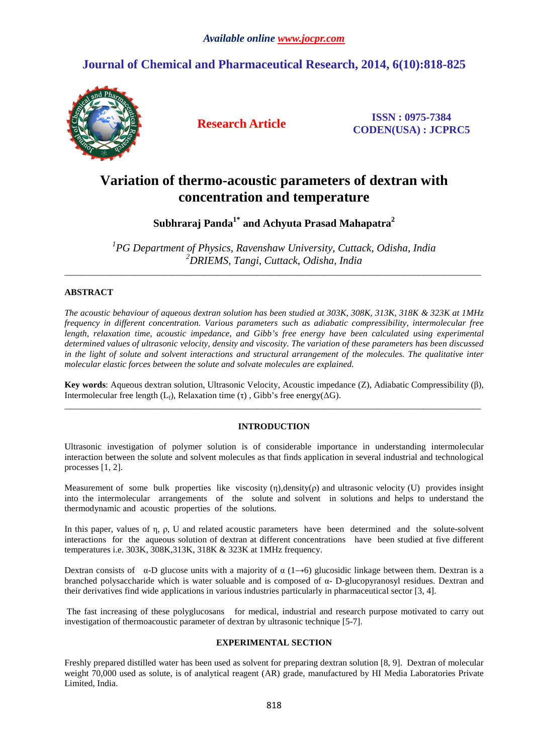# **Journal of Chemical and Pharmaceutical Research, 2014, 6(10):818-825**



**Research Article ISSN : 0975-7384 CODEN(USA) : JCPRC5**

# **Variation of thermo-acoustic parameters of dextran with concentration and temperature**

**Subhraraj Panda1\* and Achyuta Prasad Mahapatra<sup>2</sup>**

*1 PG Department of Physics, Ravenshaw University, Cuttack, Odisha, India <sup>2</sup>DRIEMS, Tangi, Cuttack, Odisha, India*

\_\_\_\_\_\_\_\_\_\_\_\_\_\_\_\_\_\_\_\_\_\_\_\_\_\_\_\_\_\_\_\_\_\_\_\_\_\_\_\_\_\_\_\_\_\_\_\_\_\_\_\_\_\_\_\_\_\_\_\_\_\_\_\_\_\_\_\_\_\_\_\_\_\_\_\_\_\_\_\_\_\_\_\_\_\_\_\_\_\_\_\_\_

# **ABSTRACT**

*The acoustic behaviour of aqueous dextran solution has been studied at 303K, 308K, 313K, 318K & 323K at 1MHz frequency in different concentration. Various parameters such as adiabatic compressibility, intermolecular free length, relaxation time, acoustic impedance, and Gibb's free energy have been calculated using experimental determined values of ultrasonic velocity, density and viscosity. The variation of these parameters has been discussed in the light of solute and solvent interactions and structural arrangement of the molecules. The qualitative inter molecular elastic forces between the solute and solvate molecules are explained.* 

**Key words**: Aqueous dextran solution, Ultrasonic Velocity, Acoustic impedance (Z), Adiabatic Compressibility (β), Intermolecular free length (L<sub>f</sub>), Relaxation time (τ), Gibb's free energy( $ΔG$ ). \_\_\_\_\_\_\_\_\_\_\_\_\_\_\_\_\_\_\_\_\_\_\_\_\_\_\_\_\_\_\_\_\_\_\_\_\_\_\_\_\_\_\_\_\_\_\_\_\_\_\_\_\_\_\_\_\_\_\_\_\_\_\_\_\_\_\_\_\_\_\_\_\_\_\_\_\_\_\_\_\_\_\_\_\_\_\_\_\_\_\_\_\_

# **INTRODUCTION**

Ultrasonic investigation of polymer solution is of considerable importance in understanding intermolecular interaction between the solute and solvent molecules as that finds application in several industrial and technological processes [1, 2].

Measurement of some bulk properties like viscosity (η),density(ρ) and ultrasonic velocity (U) provides insight into the intermolecular arrangements of the solute and solvent in solutions and helps to understand the thermodynamic and acoustic properties of the solutions.

In this paper, values of η, ρ, U and related acoustic parameters have been determined and the solute-solvent interactions for the aqueous solution of dextran at different concentrations have been studied at five different temperatures i.e. 303K, 308K,313K, 318K & 323K at 1MHz frequency.

Dextran consists of  $\alpha$ -D glucose units with a majority of  $\alpha$  (1→6) glucosidic linkage between them. Dextran is a branched polysaccharide which is water soluable and is composed of α- D-glucopyranosyl residues. Dextran and their derivatives find wide applications in various industries particularly in pharmaceutical sector [3, 4].

 The fast increasing of these polyglucosans for medical, industrial and research purpose motivated to carry out investigation of thermoacoustic parameter of dextran by ultrasonic technique [5-7].

# **EXPERIMENTAL SECTION**

Freshly prepared distilled water has been used as solvent for preparing dextran solution [8, 9]. Dextran of molecular weight 70,000 used as solute, is of analytical reagent (AR) grade, manufactured by HI Media Laboratories Private Limited, India.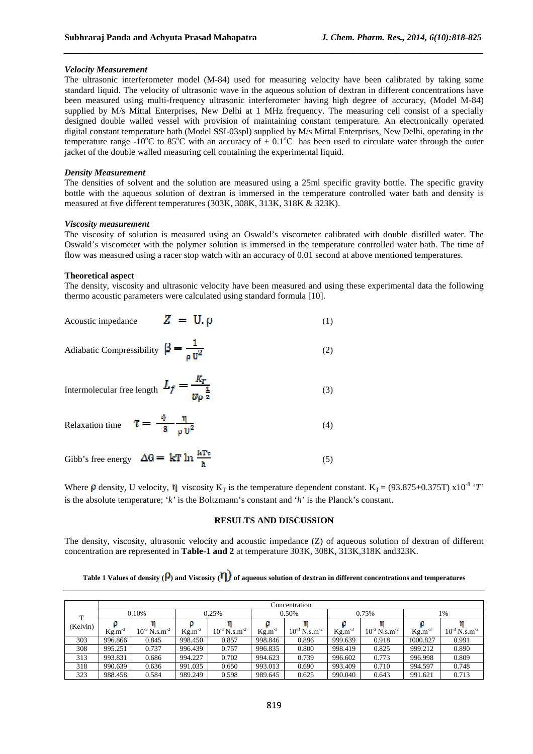## *Velocity Measurement*

The ultrasonic interferometer model (M-84) used for measuring velocity have been calibrated by taking some standard liquid. The velocity of ultrasonic wave in the aqueous solution of dextran in different concentrations have been measured using multi-frequency ultrasonic interferometer having high degree of accuracy, (Model M-84) supplied by M/s Mittal Enterprises, New Delhi at 1 MHz frequency. The measuring cell consist of a specially designed double walled vessel with provision of maintaining constant temperature. An electronically operated digital constant temperature bath (Model SSI-03spl) supplied by M/s Mittal Enterprises, New Delhi, operating in the temperature range -10<sup>o</sup>C to 85<sup>o</sup>C with an accuracy of  $\pm$  0.1<sup>o</sup>C has been used to circulate water through the outer jacket of the double walled measuring cell containing the experimental liquid.

*\_\_\_\_\_\_\_\_\_\_\_\_\_\_\_\_\_\_\_\_\_\_\_\_\_\_\_\_\_\_\_\_\_\_\_\_\_\_\_\_\_\_\_\_\_\_\_\_\_\_\_\_\_\_\_\_\_\_\_\_\_\_\_\_\_\_\_\_\_\_\_\_\_\_\_\_\_\_*

#### *Density Measurement*

The densities of solvent and the solution are measured using a 25ml specific gravity bottle. The specific gravity bottle with the aqueous solution of dextran is immersed in the temperature controlled water bath and density is measured at five different temperatures (303K, 308K, 313K, 318K & 323K).

#### *Viscosity measurement*

The viscosity of solution is measured using an Oswald's viscometer calibrated with double distilled water. The Oswald's viscometer with the polymer solution is immersed in the temperature controlled water bath. The time of flow was measured using a racer stop watch with an accuracy of 0.01 second at above mentioned temperatures.

#### **Theoretical aspect**

The density, viscosity and ultrasonic velocity have been measured and using these experimental data the following thermo acoustic parameters were calculated using standard formula [10].

| Acoustic impedance $Z = U \rho$                                      | (1) |
|----------------------------------------------------------------------|-----|
| Adiabatic Compressibility $\beta = \frac{1}{\rho U^2}$               | (2) |
| Intermolecular free length $L_f = \frac{R_T}{ U\rho ^{\frac{1}{2}}}$ | (3) |
| Relaxation time $\tau = \frac{4}{3} - \frac{\eta}{\rho U^2}$         | (4) |
| Gibb's free energy $\Delta G = kT \ln \frac{kT\tau}{h}$              | (5) |

Where  $\beta$  density, U velocity,  $\eta$  viscosity K<sub>T</sub> is the temperature dependent constant. K<sub>T</sub> = (93.875+0.375T) x10<sup>-8</sup> '*T*' is the absolute temperature; '*k'* is the Boltzmann's constant and '*h*' is the Planck's constant.

## **RESULTS AND DISCUSSION**

The density, viscosity, ultrasonic velocity and acoustic impedance (Z) of aqueous solution of dextran of different concentration are represented in **Table-1 and 2** at temperature 303K, 308K, 313K,318K and323K.

Table 1 Values of density ( $\rho$ ) and Viscosity ( $\eta$ ) of aqueous solution of dextran in different concentrations and temperatures

|          | Concentration |                                 |                    |                                                |         |                               |                      |                           |          |                           |  |  |
|----------|---------------|---------------------------------|--------------------|------------------------------------------------|---------|-------------------------------|----------------------|---------------------------|----------|---------------------------|--|--|
| т        | 0.10%         |                                 | 0.25%              |                                                | 0.50%   |                               | 0.75%                |                           | 1%       |                           |  |  |
| (Kelvin) | $-3$<br>Kg.m  | $\rm N\,.s.m^{-2}$<br>$10^{-3}$ | $\text{Kg.m}^{-3}$ | $\sqrt[3]{N}$ N.s.m <sup>-2</sup><br>$10^{-3}$ | Kg.m    | $10^{-3}$ N.s.m <sup>-2</sup> | $\mathrm{Kg.m}^{-3}$ | $N.s.m^{-2}$<br>$10^{-3}$ | Kg.m     | $N.s.m^{-2}$<br>$10^{-5}$ |  |  |
| 303      | 996.866       | 0.845                           | 998.450            | 0.857                                          | 998.846 | 0.896                         | 999.639              | 0.918                     | 1000.827 | 0.991                     |  |  |
| 308      | 995.251       | 0.737                           | 996.439            | 0.757                                          | 996.835 | 0.800                         | 998.419              | 0.825                     | 999.212  | 0.890                     |  |  |
| 313      | 993.831       | 0.686                           | 994.227            | 0.702                                          | 994.623 | 0.739                         | 996.602              | 0.773                     | 996.998  | 0.809                     |  |  |
| 318      | 990.639       | 0.636                           | 991.035            | 0.650                                          | 993.013 | 0.690                         | 993.409              | 0.710                     | 994.597  | 0.748                     |  |  |
| 323      | 988.458       | 0.584                           | 989.249            | 0.598                                          | 989.645 | 0.625                         | 990.040              | 0.643                     | 991.621  | 0.713                     |  |  |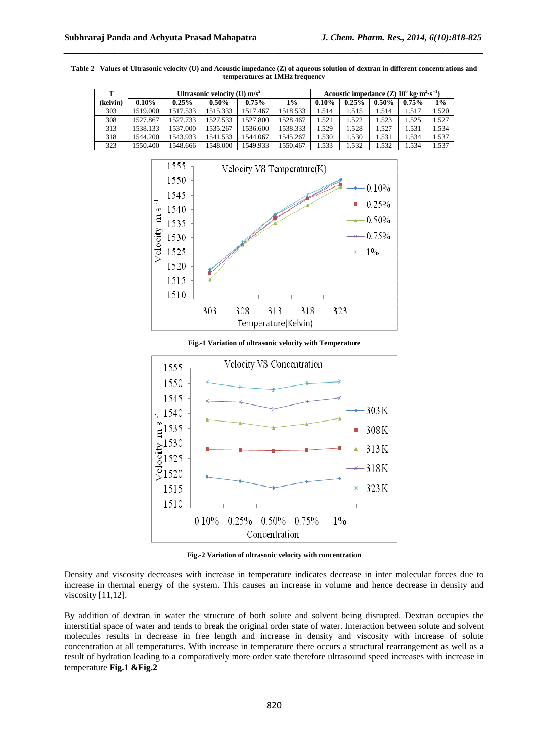| т        |          |          | Ultrasonic velocity (U) $m/s^2$ | Acoustic impedance $(Z)$ 10 <sup>6</sup> kg·m <sup>2</sup> ·s <sup>-1</sup> ) |          |       |       |          |       |       |
|----------|----------|----------|---------------------------------|-------------------------------------------------------------------------------|----------|-------|-------|----------|-------|-------|
| (kelvin) | $0.10\%$ | 0.25%    | $0.50\%$                        | $0.75\%$                                                                      | $1\%$    | 0.10% | 0.25% | $0.50\%$ | 0.75% | $1\%$ |
| 303      | 1519.000 | 1517.533 | 1515.333                        | 1517.467                                                                      | 1518.533 | 1.514 | 1.515 | 1.514    | 1.517 | 1.520 |
| 308      | 1527.867 | 1527.733 | 1527.533                        | 1527.800                                                                      | 1528.467 | 1.521 | 1.522 | 1.523    | 1.525 | 1.527 |
| 313      | 1538.133 | 1537.000 | 1535.267                        | 1536.600                                                                      | 1538.333 | 1.529 | 1.528 | 1.527    | 1.531 | 1.534 |
| 318      | 1544.200 | 1543.933 | 1541.533                        | 1544.067                                                                      | 1545.267 | 1.530 | .530  | 1.531    | 1.534 | 1.537 |
| 323      | 1550.400 | 1548.666 | 1548.000                        | 1549.933                                                                      | 1550.467 | 1.533 | 1.532 | 1.532    | 1.534 | 1.537 |

**Table 2 Values of Ultrasonic velocity (U) and Acoustic impedance (Z) of aqueous solution of dextran in different concentrations and temperatures at 1MHz frequency** 



**Fig.-1 Variation of ultrasonic velocity with Temperature** 



**Fig.-2 Variation of ultrasonic velocity with concentration** 

Density and viscosity decreases with increase in temperature indicates decrease in inter molecular forces due to increase in thermal energy of the system. This causes an increase in volume and hence decrease in density and viscosity [11,12].

By addition of dextran in water the structure of both solute and solvent being disrupted. Dextran occupies the interstitial space of water and tends to break the original order state of water. Interaction between solute and solvent molecules results in decrease in free length and increase in density and viscosity with increase of solute concentration at all temperatures. With increase in temperature there occurs a structural rearrangement as well as a result of hydration leading to a comparatively more order state therefore ultrasound speed increases with increase in temperature **Fig.1 &Fig.2**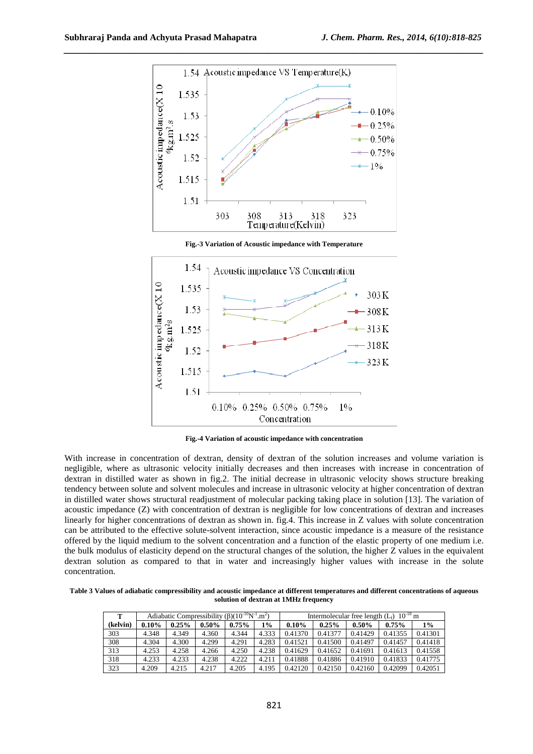

**Fig.-3 Variation of Acoustic impedance with Temperature** 



**Fig.-4 Variation of acoustic impedance with concentration** 

With increase in concentration of dextran, density of dextran of the solution increases and volume variation is negligible, where as ultrasonic velocity initially decreases and then increases with increase in concentration of dextran in distilled water as shown in fig.2. The initial decrease in ultrasonic velocity shows structure breaking tendency between solute and solvent molecules and increase in ultrasonic velocity at higher concentration of dextran in distilled water shows structural readjustment of molecular packing taking place in solution [13]. The variation of acoustic impedance (Z) with concentration of dextran is negligible for low concentrations of dextran and increases linearly for higher concentrations of dextran as shown in. fig.4. This increase in Z values with solute concentration can be attributed to the effective solute-solvent interaction, since acoustic impedance is a measure of the resistance offered by the liquid medium to the solvent concentration and a function of the elastic property of one medium i.e. the bulk modulus of elasticity depend on the structural changes of the solution, the higher Z values in the equivalent dextran solution as compared to that in water and increasingly higher values with increase in the solute concentration.

**Table 3 Values of adiabatic compressibility and acoustic impedance at different temperatures and different concentrations of aqueous solution of dextran at 1MHz frequency** 

| т        |       |       |          | Adiabatic Compressibility $(\beta)(10^{-10}N^{-1} \cdot m^2)$ |       | $10^{-10}$ m<br>Intermolecular free length $(L_f)$ |         |          |          |         |
|----------|-------|-------|----------|---------------------------------------------------------------|-------|----------------------------------------------------|---------|----------|----------|---------|
| (kelvin) | 0.10% | 0.25% | $0.50\%$ | 0.75%                                                         | 1%    | $0.10\%$                                           | 0.25%   | $0.50\%$ | $0.75\%$ | 1%      |
| 303      | 4.348 | 4.349 | 4.360    | 4.344                                                         | 4.333 | 0.41370                                            | 0.41377 | 0.41429  | 0.41355  | 0.41301 |
| 308      | 4.304 | 4.300 | 4.299    | 4.291                                                         | 4.283 | 0.41521                                            | 0.41500 | 0.41497  | 0.41457  | 0.41418 |
| 313      | 4.253 | 4.258 | 4.266    | 4.250                                                         | 4.238 | 0.41629                                            | 0.41652 | 0.41691  | 0.41613  | 0.41558 |
| 318      | 4.233 | 4.233 | 4.238    | 4.222                                                         | 4.211 | 0.41888                                            | 0.41886 | 0.41910  | 0.41833  | 0.41775 |
| 323      | 4.209 | 4.215 | 4.217    | 4.205                                                         | 4.195 | 0.42120                                            | 0.42150 | 0.42160  | 0.42099  | 0.42051 |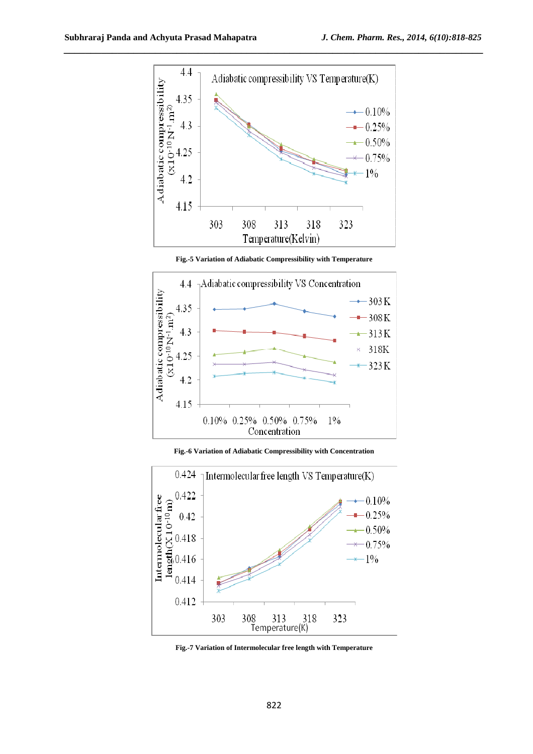

**Fig.-5 Variation of Adiabatic Compressibility with Temperature** 



**Fig.-6 Variation of Adiabatic Compressibility with Concentration** 



**Fig.-7 Variation of Intermolecular free length with Temperature**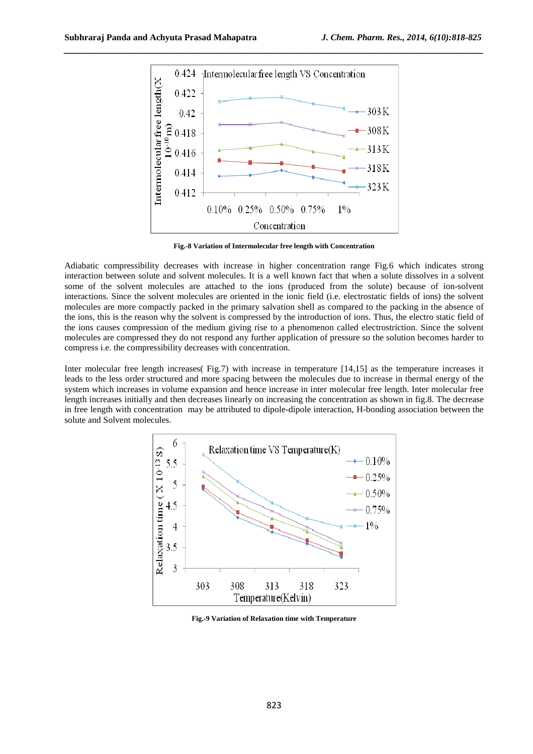

**Fig.-8 Variation of Intermolecular free length with Concentration** 

Adiabatic compressibility decreases with increase in higher concentration range Fig.6 which indicates strong interaction between solute and solvent molecules. It is a well known fact that when a solute dissolves in a solvent some of the solvent molecules are attached to the ions (produced from the solute) because of ion-solvent interactions. Since the solvent molecules are oriented in the ionic field (i.e. electrostatic fields of ions) the solvent molecules are more compactly packed in the primary salvation shell as compared to the packing in the absence of the ions, this is the reason why the solvent is compressed by the introduction of ions. Thus, the electro static field of the ions causes compression of the medium giving rise to a phenomenon called electrostriction. Since the solvent molecules are compressed they do not respond any further application of pressure so the solution becomes harder to compress i.e. the compressibility decreases with concentration.

Inter molecular free length increases( Fig.7) with increase in temperature [14,15] as the temperature increases it leads to the less order structured and more spacing between the molecules due to increase in thermal energy of the system which increases in volume expansion and hence increase in inter molecular free length. Inter molecular free length increases initially and then decreases linearly on increasing the concentration as shown in fig.8. The decrease in free length with concentration may be attributed to dipole-dipole interaction, H-bonding association between the solute and Solvent molecules.



**Fig.-9 Variation of Relaxation time with Temperature**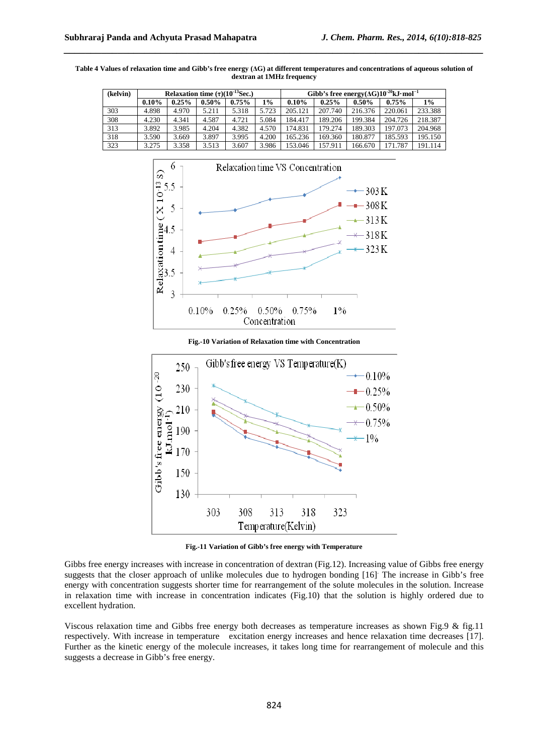| (kelvin) |          |       |          | Relaxation time $(\tau)(10^{-13}$ Sec.) |       | Gibb's free energy( $\Delta G$ )10 <sup>-20</sup> kJ·mol <sup>-1</sup> |          |          |          |         |
|----------|----------|-------|----------|-----------------------------------------|-------|------------------------------------------------------------------------|----------|----------|----------|---------|
|          | $0.10\%$ | 0.25% | $0.50\%$ | 0.75%                                   | 1%    | $0.10\%$                                                               | $0.25\%$ | $0.50\%$ | $0.75\%$ | 1%      |
| 303      | 4.898    | 4.970 | 5.211    | 5.318                                   | 5.723 | 205.121                                                                | 207.740  | 216.376  | 220.061  | 233.388 |
| 308      | 4.230    | 4.341 | 4.587    | 4.721                                   | 5.084 | 184.417                                                                | 189.206  | 199.384  | 204.726  | 218.387 |
| 313      | 3.892    | 3.985 | 4.204    | 4.382                                   | 4.570 | 174.831                                                                | 179.274  | 189.303  | 197.073  | 204.968 |
| 318      | 3.590    | 3.669 | 3.897    | 3.995                                   | 4.200 | 165.236                                                                | 169.360  | 180.877  | 185.593  | 195.150 |
| 323      | 3.275    | 3.358 | 3.513    | 3.607                                   | 3.986 | 153.046                                                                | 157.911  | 166.670  | 171.787  | 191.114 |

**Table 4 Values of relaxation time and Gibb's free energy (∆G) at different temperatures and concentrations of aqueous solution of dextran at 1MHz frequency** 



**Fig.-10 Variation of Relaxation time with Concentration** 



**Fig.-11 Variation of Gibb's free energy with Temperature** 

Gibbs free energy increases with increase in concentration of dextran (Fig.12). Increasing value of Gibbs free energy suggests that the closer approach of unlike molecules due to hydrogen bonding [16] The increase in Gibb's free energy with concentration suggests shorter time for rearrangement of the solute molecules in the solution. Increase in relaxation time with increase in concentration indicates (Fig.10) that the solution is highly ordered due to excellent hydration.

Viscous relaxation time and Gibbs free energy both decreases as temperature increases as shown Fig.9 & fig.11 respectively. With increase in temperature excitation energy increases and hence relaxation time decreases [17]. Further as the kinetic energy of the molecule increases, it takes long time for rearrangement of molecule and this suggests a decrease in Gibb's free energy.